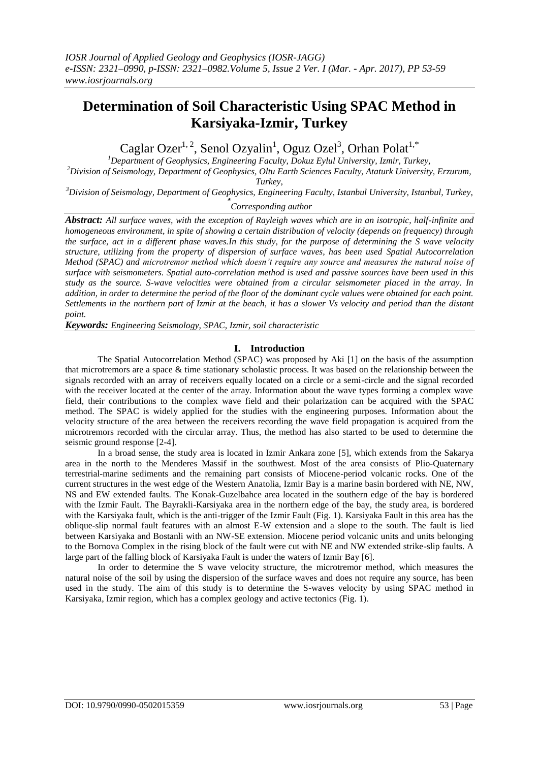# **Determination of Soil Characteristic Using SPAC Method in Karsiyaka-Izmir, Turkey**

Caglar Ozer<sup>1, 2</sup>, Senol Ozyalin<sup>1</sup>, Oguz Ozel<sup>3</sup>, Orhan Polat<sup>1,\*</sup>

*<sup>1</sup>Department of Geophysics, Engineering Faculty, Dokuz Eylul University, Izmir, Turkey,*

*<sup>2</sup>Division of Seismology, Department of Geophysics, Oltu Earth Sciences Faculty, Ataturk University, Erzurum, Turkey,*

*<sup>3</sup>Division of Seismology, Department of Geophysics, Engineering Faculty, Istanbul University, Istanbul, Turkey,*

*\* Corresponding author*

*Abstract: All surface waves, with the exception of Rayleigh waves which are in an isotropic, half-infinite and homogeneous environment, in spite of showing a certain distribution of velocity (depends on frequency) through the surface, act in a different phase waves.In this study, for the purpose of determining the S wave velocity structure, utilizing from the property of dispersion of surface waves, has been used Spatial Autocorrelation Method (SPAC) and microtremor method which doesn't require any source and measures the natural noise of surface with seismometers. Spatial auto-correlation method is used and passive sources have been used in this study as the source. S-wave velocities were obtained from a circular seismometer placed in the array. In addition, in order to determine the period of the floor of the dominant cycle values were obtained for each point. Settlements in the northern part of Izmir at the beach, it has a slower Vs velocity and period than the distant point.*

*Keywords: Engineering Seismology, SPAC, Izmir, soil characteristic*

## **I. Introduction**

The Spatial Autocorrelation Method (SPAC) was proposed by Aki [1] on the basis of the assumption that microtremors are a space & time stationary scholastic process. It was based on the relationship between the signals recorded with an array of receivers equally located on a circle or a semi-circle and the signal recorded with the receiver located at the center of the array. Information about the wave types forming a complex wave field, their contributions to the complex wave field and their polarization can be acquired with the SPAC method. The SPAC is widely applied for the studies with the engineering purposes. Information about the velocity structure of the area between the receivers recording the wave field propagation is acquired from the microtremors recorded with the circular array. Thus, the method has also started to be used to determine the seismic ground response [2-4].

In a broad sense, the study area is located in Izmir Ankara zone [5], which extends from the Sakarya area in the north to the Menderes Massif in the southwest. Most of the area consists of Plio-Quaternary terrestrial-marine sediments and the remaining part consists of Miocene-period volcanic rocks. One of the current structures in the west edge of the Western Anatolia, Izmir Bay is a marine basin bordered with NE, NW, NS and EW extended faults. The Konak-Guzelbahce area located in the southern edge of the bay is bordered with the Izmir Fault. The Bayrakli-Karsiyaka area in the northern edge of the bay, the study area, is bordered with the Karsiyaka fault, which is the anti-trigger of the Izmir Fault (Fig. 1). Karsiyaka Fault in this area has the oblique-slip normal fault features with an almost E-W extension and a slope to the south. The fault is lied between Karsiyaka and Bostanli with an NW-SE extension. Miocene period volcanic units and units belonging to the Bornova Complex in the rising block of the fault were cut with NE and NW extended strike-slip faults. A large part of the falling block of Karsiyaka Fault is under the waters of Izmir Bay [6].

In order to determine the S wave velocity structure, the microtremor method, which measures the natural noise of the soil by using the dispersion of the surface waves and does not require any source, has been used in the study. The aim of this study is to determine the S-waves velocity by using SPAC method in Karsiyaka, Izmir region, which has a complex geology and active tectonics (Fig. 1).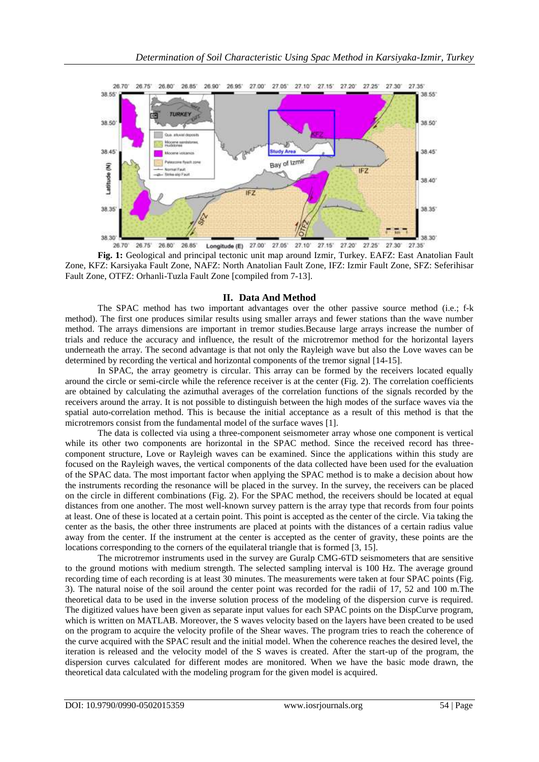

**Fig. 1:** Geological and principal tectonic unit map around Izmir, Turkey. EAFZ: East Anatolian Fault Zone, KFZ: Karsiyaka Fault Zone, NAFZ: North Anatolian Fault Zone, IFZ: Izmir Fault Zone, SFZ: Seferihisar Fault Zone, OTFZ: Orhanli-Tuzla Fault Zone [compiled from 7-13].

### **II. Data And Method**

The SPAC method has two important advantages over the other passive source method (i.e.; f-k method). The first one produces similar results using smaller arrays and fewer stations than the wave number method. The arrays dimensions are important in tremor studies.Because large arrays increase the number of trials and reduce the accuracy and influence, the result of the microtremor method for the horizontal layers underneath the array. The second advantage is that not only the Rayleigh wave but also the Love waves can be determined by recording the vertical and horizontal components of the tremor signal [14-15].

In SPAC, the array geometry is circular. This array can be formed by the receivers located equally around the circle or semi-circle while the reference receiver is at the center (Fig. 2). The correlation coefficients are obtained by calculating the azimuthal averages of the correlation functions of the signals recorded by the receivers around the array. It is not possible to distinguish between the high modes of the surface waves via the spatial auto-correlation method. This is because the initial acceptance as a result of this method is that the microtremors consist from the fundamental model of the surface waves [1].

The data is collected via using a three-component seismometer array whose one component is vertical while its other two components are horizontal in the SPAC method. Since the received record has threecomponent structure, Love or Rayleigh waves can be examined. Since the applications within this study are focused on the Rayleigh waves, the vertical components of the data collected have been used for the evaluation of the SPAC data. The most important factor when applying the SPAC method is to make a decision about how the instruments recording the resonance will be placed in the survey. In the survey, the receivers can be placed on the circle in different combinations (Fig. 2). For the SPAC method, the receivers should be located at equal distances from one another. The most well-known survey pattern is the array type that records from four points at least. One of these is located at a certain point. This point is accepted as the center of the circle. Via taking the center as the basis, the other three instruments are placed at points with the distances of a certain radius value away from the center. If the instrument at the center is accepted as the center of gravity, these points are the locations corresponding to the corners of the equilateral triangle that is formed [3, 15].

The microtremor instruments used in the survey are Guralp CMG-6TD seismometers that are sensitive to the ground motions with medium strength. The selected sampling interval is 100 Hz. The average ground recording time of each recording is at least 30 minutes. The measurements were taken at four SPAC points (Fig. 3). The natural noise of the soil around the center point was recorded for the radii of 17, 52 and 100 m.The theoretical data to be used in the inverse solution process of the modeling of the dispersion curve is required. The digitized values have been given as separate input values for each SPAC points on the DispCurve program, which is written on MATLAB. Moreover, the S waves velocity based on the layers have been created to be used on the program to acquire the velocity profile of the Shear waves. The program tries to reach the coherence of the curve acquired with the SPAC result and the initial model. When the coherence reaches the desired level, the iteration is released and the velocity model of the S waves is created. After the start-up of the program, the dispersion curves calculated for different modes are monitored. When we have the basic mode drawn, the theoretical data calculated with the modeling program for the given model is acquired.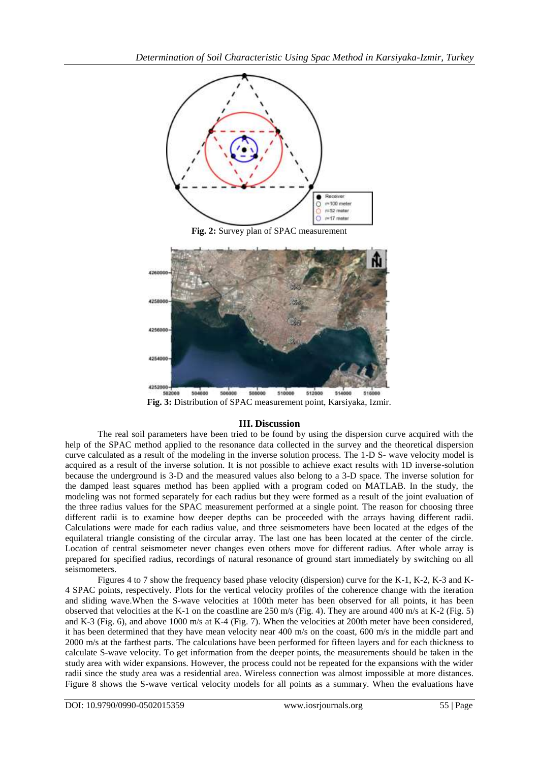

**Fig. 2:** Survey plan of SPAC measurement



**Fig. 3:** Distribution of SPAC measurement point, Karsiyaka, Izmir.

## **III. Discussion**

The real soil parameters have been tried to be found by using the dispersion curve acquired with the help of the SPAC method applied to the resonance data collected in the survey and the theoretical dispersion curve calculated as a result of the modeling in the inverse solution process. The 1-D S- wave velocity model is acquired as a result of the inverse solution. It is not possible to achieve exact results with 1D inverse-solution because the underground is 3-D and the measured values also belong to a 3-D space. The inverse solution for the damped least squares method has been applied with a program coded on MATLAB. In the study, the modeling was not formed separately for each radius but they were formed as a result of the joint evaluation of the three radius values for the SPAC measurement performed at a single point. The reason for choosing three different radii is to examine how deeper depths can be proceeded with the arrays having different radii. Calculations were made for each radius value, and three seismometers have been located at the edges of the equilateral triangle consisting of the circular array. The last one has been located at the center of the circle. Location of central seismometer never changes even others move for different radius. After whole array is prepared for specified radius, recordings of natural resonance of ground start immediately by switching on all seismometers.

Figures 4 to 7 show the frequency based phase velocity (dispersion) curve for the K-1, K-2, K-3 and K-4 SPAC points, respectively. Plots for the vertical velocity profiles of the coherence change with the iteration and sliding wave.When the S-wave velocities at 100th meter has been observed for all points, it has been observed that velocities at the K-1 on the coastline are 250 m/s (Fig. 4). They are around 400 m/s at K-2 (Fig. 5) and K-3 (Fig. 6), and above 1000 m/s at K-4 (Fig. 7). When the velocities at 200th meter have been considered, it has been determined that they have mean velocity near 400 m/s on the coast, 600 m/s in the middle part and 2000 m/s at the farthest parts. The calculations have been performed for fifteen layers and for each thickness to calculate S-wave velocity. To get information from the deeper points, the measurements should be taken in the study area with wider expansions. However, the process could not be repeated for the expansions with the wider radii since the study area was a residential area. Wireless connection was almost impossible at more distances. Figure 8 shows the S-wave vertical velocity models for all points as a summary. When the evaluations have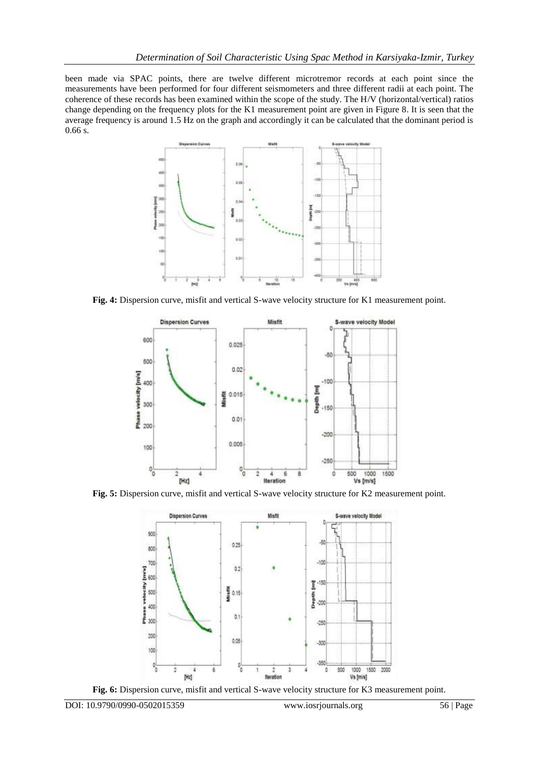been made via SPAC points, there are twelve different microtremor records at each point since the measurements have been performed for four different seismometers and three different radii at each point. The coherence of these records has been examined within the scope of the study. The H/V (horizontal/vertical) ratios change depending on the frequency plots for the K1 measurement point are given in Figure 8. It is seen that the average frequency is around 1.5 Hz on the graph and accordingly it can be calculated that the dominant period is 0.66 s.



**Fig. 4:** Dispersion curve, misfit and vertical S-wave velocity structure for K1 measurement point.



**Fig. 5:** Dispersion curve, misfit and vertical S-wave velocity structure for K2 measurement point.



**Fig. 6:** Dispersion curve, misfit and vertical S-wave velocity structure for K3 measurement point.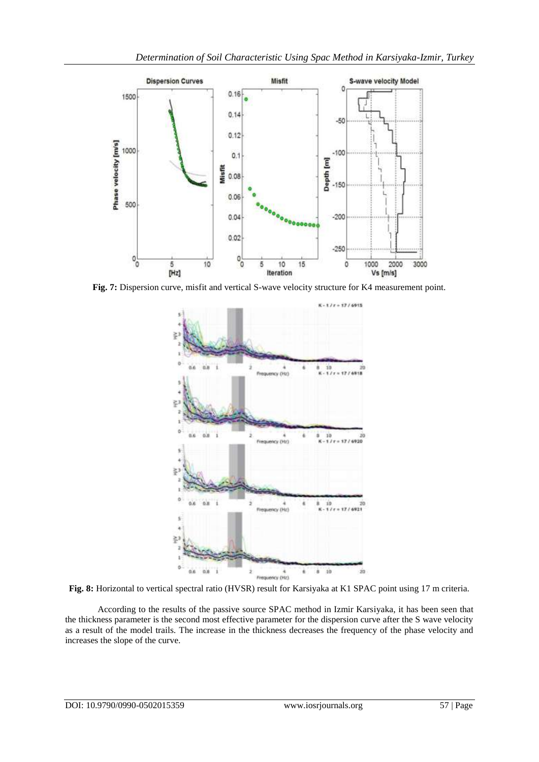

**Fig. 7:** Dispersion curve, misfit and vertical S-wave velocity structure for K4 measurement point.



**Fig. 8:** Horizontal to vertical spectral ratio (HVSR) result for Karsiyaka at K1 SPAC point using 17 m criteria.

According to the results of the passive source SPAC method in Izmir Karsiyaka, it has been seen that the thickness parameter is the second most effective parameter for the dispersion curve after the S wave velocity as a result of the model trails. The increase in the thickness decreases the frequency of the phase velocity and increases the slope of the curve.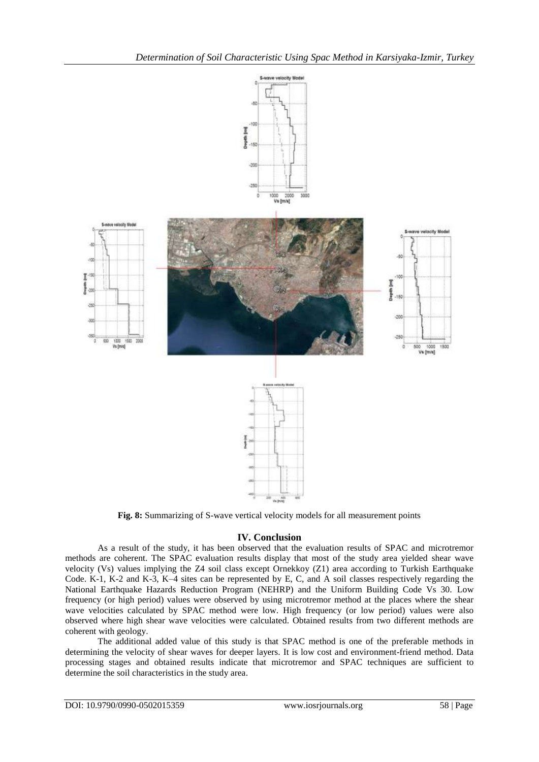

**Fig. 8:** Summarizing of S-wave vertical velocity models for all measurement points

## **IV. Conclusion**

As a result of the study, it has been observed that the evaluation results of SPAC and microtremor methods are coherent. The SPAC evaluation results display that most of the study area yielded shear wave velocity (Vs) values implying the Z4 soil class except Ornekkoy (Z1) area according to Turkish Earthquake Code. K-1, K-2 and K-3, K–4 sites can be represented by E, C, and A soil classes respectively regarding the National Earthquake Hazards Reduction Program (NEHRP) and the Uniform Building Code Vs 30. Low frequency (or high period) values were observed by using microtremor method at the places where the shear wave velocities calculated by SPAC method were low. High frequency (or low period) values were also observed where high shear wave velocities were calculated. Obtained results from two different methods are coherent with geology.

The additional added value of this study is that SPAC method is one of the preferable methods in determining the velocity of shear waves for deeper layers. It is low cost and environment-friend method. Data processing stages and obtained results indicate that microtremor and SPAC techniques are sufficient to determine the soil characteristics in the study area.